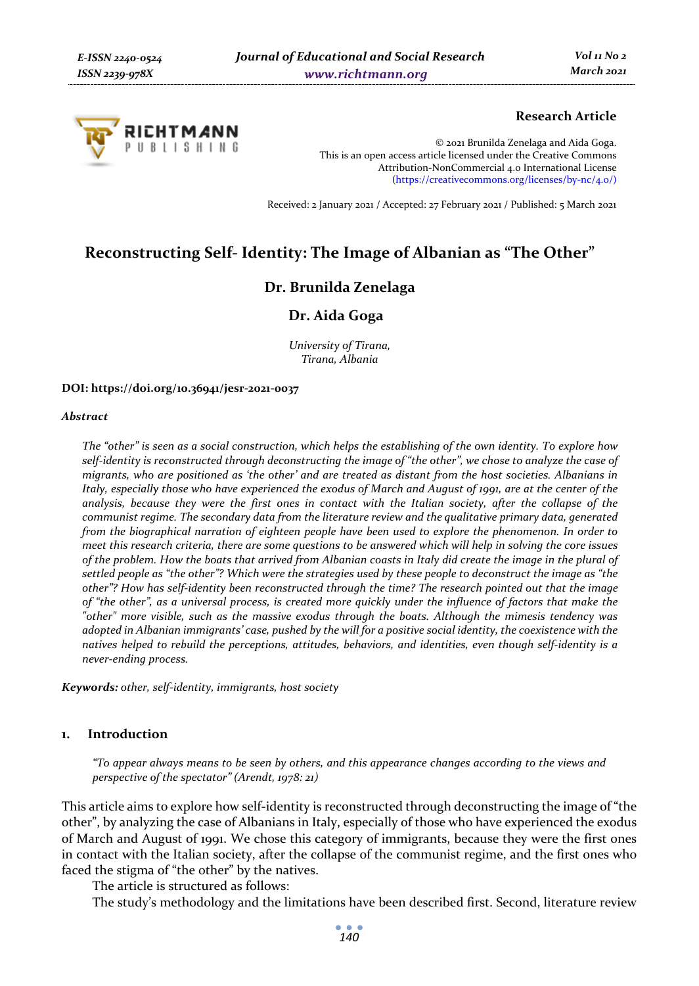

## **Research Article**

© 2021 Brunilda Zenelaga and Aida Goga. This is an open access article licensed under the Creative Commons Attribution-NonCommercial 4.0 International License (https://creativecommons.org/licenses/by-nc/4.0/)

Received: 2 January 2021 / Accepted: 27 February 2021 / Published: 5 March 2021

# **Reconstructing Self- Identity: The Image of Albanian as "The Other"**

# **Dr. Brunilda Zenelaga**

## **Dr. Aida Goga**

*University of Tirana, Tirana, Albania* 

#### **DOI: https://doi.org/10.36941/jesr-2021-0037**

#### *Abstract*

*The "other" is seen as a social construction, which helps the establishing of the own identity. To explore how self-identity is reconstructed through deconstructing the image of "the other", we chose to analyze the case of migrants, who are positioned as 'the other' and are treated as distant from the host societies. Albanians in Italy, especially those who have experienced the exodus of March and August of 1991, are at the center of the analysis, because they were the first ones in contact with the Italian society, after the collapse of the communist regime. The secondary data from the literature review and the qualitative primary data, generated from the biographical narration of eighteen people have been used to explore the phenomenon. In order to meet this research criteria, there are some questions to be answered which will help in solving the core issues of the problem. How the boats that arrived from Albanian coasts in Italy did create the image in the plural of settled people as "the other"? Which were the strategies used by these people to deconstruct the image as "the other"? How has self-identity been reconstructed through the time? The research pointed out that the image of "the other", as a universal process, is created more quickly under the influence of factors that make the "other" more visible, such as the massive exodus through the boats. Although the mimesis tendency was adopted in Albanian immigrants' case, pushed by the will for a positive social identity, the coexistence with the natives helped to rebuild the perceptions, attitudes, behaviors, and identities, even though self-identity is a never-ending process.* 

*Keywords: other, self-identity, immigrants, host society* 

### **1. Introduction**

*"To appear always means to be seen by others, and this appearance changes according to the views and perspective of the spectator" (Arendt, 1978: 21)* 

This article aims to explore how self-identity is reconstructed through deconstructing the image of "the other", by analyzing the case of Albanians in Italy, especially of those who have experienced the exodus of March and August of 1991. We chose this category of immigrants, because they were the first ones in contact with the Italian society, after the collapse of the communist regime, and the first ones who faced the stigma of "the other" by the natives.

The article is structured as follows:

The study's methodology and the limitations have been described first. Second, literature review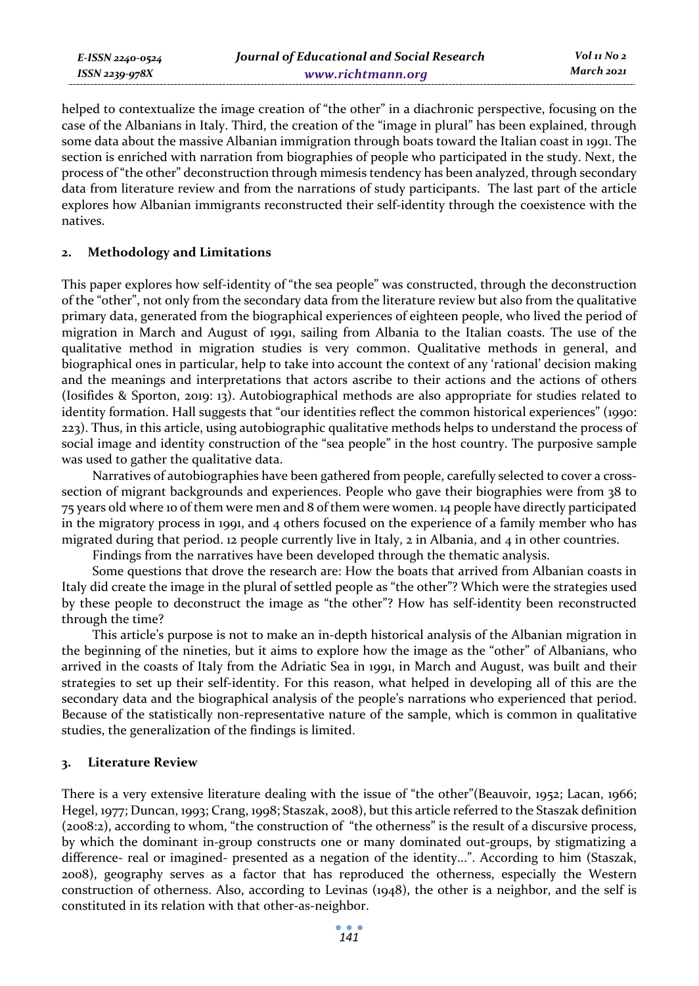helped to contextualize the image creation of "the other" in a diachronic perspective, focusing on the case of the Albanians in Italy. Third, the creation of the "image in plural" has been explained, through some data about the massive Albanian immigration through boats toward the Italian coast in 1991. The section is enriched with narration from biographies of people who participated in the study. Next, the process of "the other" deconstruction through mimesis tendency has been analyzed, through secondary data from literature review and from the narrations of study participants. The last part of the article explores how Albanian immigrants reconstructed their self-identity through the coexistence with the natives.

#### **2. Methodology and Limitations**

This paper explores how self-identity of "the sea people" was constructed, through the deconstruction of the "other", not only from the secondary data from the literature review but also from the qualitative primary data, generated from the biographical experiences of eighteen people, who lived the period of migration in March and August of 1991, sailing from Albania to the Italian coasts. The use of the qualitative method in migration studies is very common. Qualitative methods in general, and biographical ones in particular, help to take into account the context of any 'rational' decision making and the meanings and interpretations that actors ascribe to their actions and the actions of others (Iosifides & Sporton, 2019: 13). Autobiographical methods are also appropriate for studies related to identity formation. Hall suggests that "our identities reflect the common historical experiences" (1990: 223). Thus, in this article, using autobiographic qualitative methods helps to understand the process of social image and identity construction of the "sea people" in the host country. The purposive sample was used to gather the qualitative data.

Narratives of autobiographies have been gathered from people, carefully selected to cover a crosssection of migrant backgrounds and experiences. People who gave their biographies were from 38 to 75 years old where 10 of them were men and 8 of them were women. 14 people have directly participated in the migratory process in 1991, and 4 others focused on the experience of a family member who has migrated during that period. 12 people currently live in Italy, 2 in Albania, and 4 in other countries.

Findings from the narratives have been developed through the thematic analysis.

Some questions that drove the research are: How the boats that arrived from Albanian coasts in Italy did create the image in the plural of settled people as "the other"? Which were the strategies used by these people to deconstruct the image as "the other"? How has self-identity been reconstructed through the time?

This article's purpose is not to make an in-depth historical analysis of the Albanian migration in the beginning of the nineties, but it aims to explore how the image as the "other" of Albanians, who arrived in the coasts of Italy from the Adriatic Sea in 1991, in March and August, was built and their strategies to set up their self-identity. For this reason, what helped in developing all of this are the secondary data and the biographical analysis of the people's narrations who experienced that period. Because of the statistically non-representative nature of the sample, which is common in qualitative studies, the generalization of the findings is limited.

#### **3. Literature Review**

There is a very extensive literature dealing with the issue of "the other"(Beauvoir, 1952; Lacan, 1966; Hegel, 1977; Duncan, 1993; Crang, 1998; Staszak, 2008), but this article referred to the Staszak definition (2008:2), according to whom, "the construction of "the otherness" is the result of a discursive process, by which the dominant in-group constructs one or many dominated out-groups, by stigmatizing a difference- real or imagined- presented as a negation of the identity...". According to him (Staszak, 2008), geography serves as a factor that has reproduced the otherness, especially the Western construction of otherness. Also, according to Levinas (1948), the other is a neighbor, and the self is constituted in its relation with that other-as-neighbor.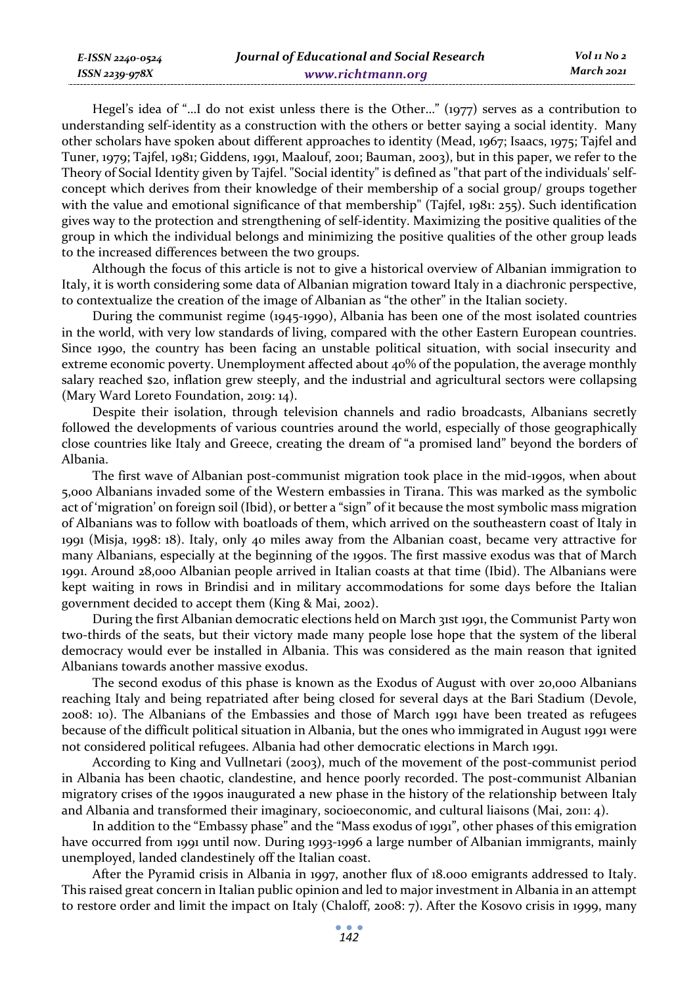Hegel's idea of "…I do not exist unless there is the Other…" (1977) serves as a contribution to understanding self-identity as a construction with the others or better saying a social identity. Many other scholars have spoken about different approaches to identity (Mead, 1967; Isaacs, 1975; Tajfel and Tuner, 1979; Tajfel, 1981; Giddens, 1991, Maalouf, 2001; Bauman, 2003), but in this paper, we refer to the Theory of Social Identity given by Tajfel. "Social identity" is defined as "that part of the individuals' selfconcept which derives from their knowledge of their membership of a social group/ groups together with the value and emotional significance of that membership" (Tajfel, 1981: 255). Such identification gives way to the protection and strengthening of self-identity. Maximizing the positive qualities of the group in which the individual belongs and minimizing the positive qualities of the other group leads to the increased differences between the two groups.

Although the focus of this article is not to give a historical overview of Albanian immigration to Italy, it is worth considering some data of Albanian migration toward Italy in a diachronic perspective, to contextualize the creation of the image of Albanian as "the other" in the Italian society.

During the communist regime (1945-1990), Albania has been one of the most isolated countries in the world, with very low standards of living, compared with the other Eastern European countries. Since 1990, the country has been facing an unstable political situation, with social insecurity and extreme economic poverty. Unemployment affected about 40% of the population, the average monthly salary reached \$20, inflation grew steeply, and the industrial and agricultural sectors were collapsing (Mary Ward Loreto Foundation, 2019: 14).

Despite their isolation, through television channels and radio broadcasts, Albanians secretly followed the developments of various countries around the world, especially of those geographically close countries like Italy and Greece, creating the dream of "a promised land" beyond the borders of Albania.

The first wave of Albanian post-communist migration took place in the mid-1990s, when about 5,000 Albanians invaded some of the Western embassies in Tirana. This was marked as the symbolic act of 'migration' on foreign soil (Ibid), or better a "sign" of it because the most symbolic mass migration of Albanians was to follow with boatloads of them, which arrived on the southeastern coast of Italy in 1991 (Misja, 1998: 18). Italy, only 40 miles away from the Albanian coast, became very attractive for many Albanians, especially at the beginning of the 1990s. The first massive exodus was that of March 1991. Around 28,000 Albanian people arrived in Italian coasts at that time (Ibid). The Albanians were kept waiting in rows in Brindisi and in military accommodations for some days before the Italian government decided to accept them (King & Mai, 2002).

During the first Albanian democratic elections held on March 31st 1991, the Communist Party won two-thirds of the seats, but their victory made many people lose hope that the system of the liberal democracy would ever be installed in Albania. This was considered as the main reason that ignited Albanians towards another massive exodus.

The second exodus of this phase is known as the Exodus of August with over 20,000 Albanians reaching Italy and being repatriated after being closed for several days at the Bari Stadium (Devole, 2008: 10). The Albanians of the Embassies and those of March 1991 have been treated as refugees because of the difficult political situation in Albania, but the ones who immigrated in August 1991 were not considered political refugees. Albania had other democratic elections in March 1991.

According to King and Vullnetari (2003), much of the movement of the post-communist period in Albania has been chaotic, clandestine, and hence poorly recorded. The post-communist Albanian migratory crises of the 1990s inaugurated a new phase in the history of the relationship between Italy and Albania and transformed their imaginary, socioeconomic, and cultural liaisons (Mai, 2011: 4).

In addition to the "Embassy phase" and the "Mass exodus of 1991", other phases of this emigration have occurred from 1991 until now. During 1993-1996 a large number of Albanian immigrants, mainly unemployed, landed clandestinely off the Italian coast.

After the Pyramid crisis in Albania in 1997, another flux of 18.000 emigrants addressed to Italy. This raised great concern in Italian public opinion and led to major investment in Albania in an attempt to restore order and limit the impact on Italy (Chaloff, 2008: 7). After the Kosovo crisis in 1999, many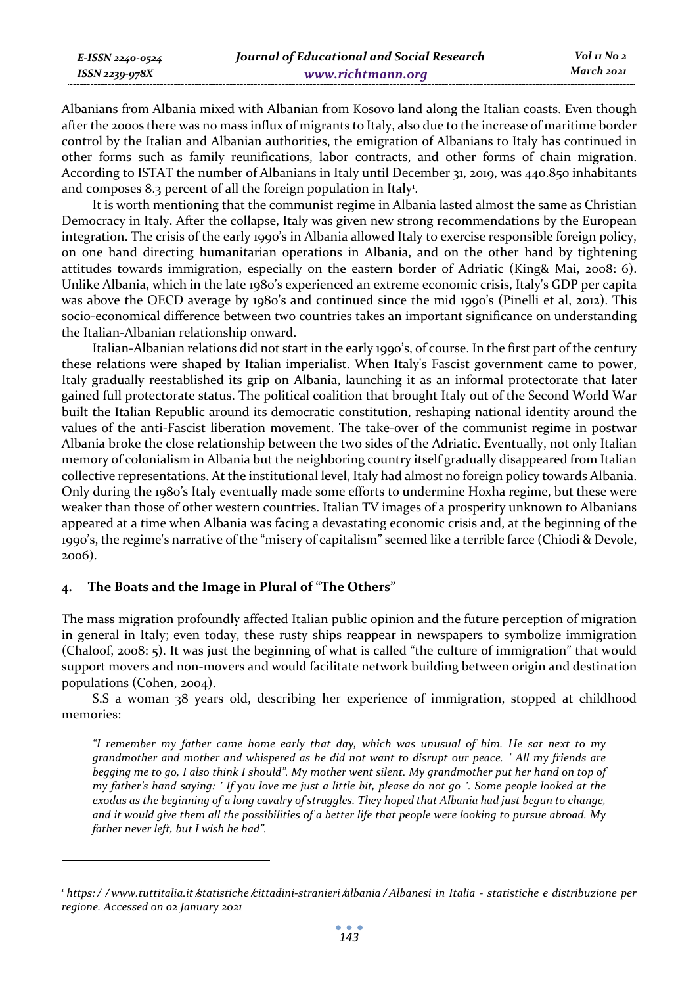| E-ISSN 2240-0524 | Journal of Educational and Social Research | Vol 11 No 2 |
|------------------|--------------------------------------------|-------------|
| ISSN 2239-978X   | www.richtmann.org                          | March 2021  |

Albanians from Albania mixed with Albanian from Kosovo land along the Italian coasts. Even though after the 2000s there was no mass influx of migrants to Italy, also due to the increase of maritime border control by the Italian and Albanian authorities, the emigration of Albanians to Italy has continued in other forms such as family reunifications, labor contracts, and other forms of chain migration. According to ISTAT the number of Albanians in Italy until December 31, 2019, was 440.850 inhabitants and composes  $8.3$  percent of all the foreign population in Italy<sup>1</sup>.

It is worth mentioning that the communist regime in Albania lasted almost the same as Christian Democracy in Italy. After the collapse, Italy was given new strong recommendations by the European integration. The crisis of the early 1990's in Albania allowed Italy to exercise responsible foreign policy, on one hand directing humanitarian operations in Albania, and on the other hand by tightening attitudes towards immigration, especially on the eastern border of Adriatic (King& Mai, 2008: 6). Unlike Albania, which in the late 1980's experienced an extreme economic crisis, Italy's GDP per capita was above the OECD average by 1980's and continued since the mid 1990's (Pinelli et al, 2012). This socio-economical difference between two countries takes an important significance on understanding the Italian-Albanian relationship onward.

Italian-Albanian relations did not start in the early 1990's, of course. In the first part of the century these relations were shaped by Italian imperialist. When Italy's Fascist government came to power, Italy gradually reestablished its grip on Albania, launching it as an informal protectorate that later gained full protectorate status. The political coalition that brought Italy out of the Second World War built the Italian Republic around its democratic constitution, reshaping national identity around the values of the anti-Fascist liberation movement. The take-over of the communist regime in postwar Albania broke the close relationship between the two sides of the Adriatic. Eventually, not only Italian memory of colonialism in Albania but the neighboring country itself gradually disappeared from Italian collective representations. At the institutional level, Italy had almost no foreign policy towards Albania. Only during the 1980's Italy eventually made some efforts to undermine Hoxha regime, but these were weaker than those of other western countries. Italian TV images of a prosperity unknown to Albanians appeared at a time when Albania was facing a devastating economic crisis and, at the beginning of the 1990's, the regime's narrative of the "misery of capitalism" seemed like a terrible farce (Chiodi & Devole, 2006).

### **4. The Boats and the Image in Plural of "The Others"**

The mass migration profoundly affected Italian public opinion and the future perception of migration in general in Italy; even today, these rusty ships reappear in newspapers to symbolize immigration (Chaloof, 2008: 5). It was just the beginning of what is called "the culture of immigration" that would support movers and non-movers and would facilitate network building between origin and destination populations (Cohen, 2004).

S.S a woman 38 years old, describing her experience of immigration, stopped at childhood memories:

*"I remember my father came home early that day, which was unusual of him. He sat next to my grandmother and mother and whispered as he did not want to disrupt our peace. ʽ All my friends are begging me to go, I also think I should". My mother went silent. My grandmother put her hand on top of my father's hand saying: ʽ If you love me just a little bit, please do not go ʽ. Some people looked at the exodus as the beginning of a long cavalry of struggles. They hoped that Albania had just begun to change, and it would give them all the possibilities of a better life that people were looking to pursue abroad. My father never left, but I wish he had".* 

<sup>&#</sup>x27; https://www.tuttitalia.it ⁄statistiche ⁄cittadini-stranieri ⁄albania/Albanesi in Italia - statistiche e distribuzione per *regione. Accessed on 02 January 2021*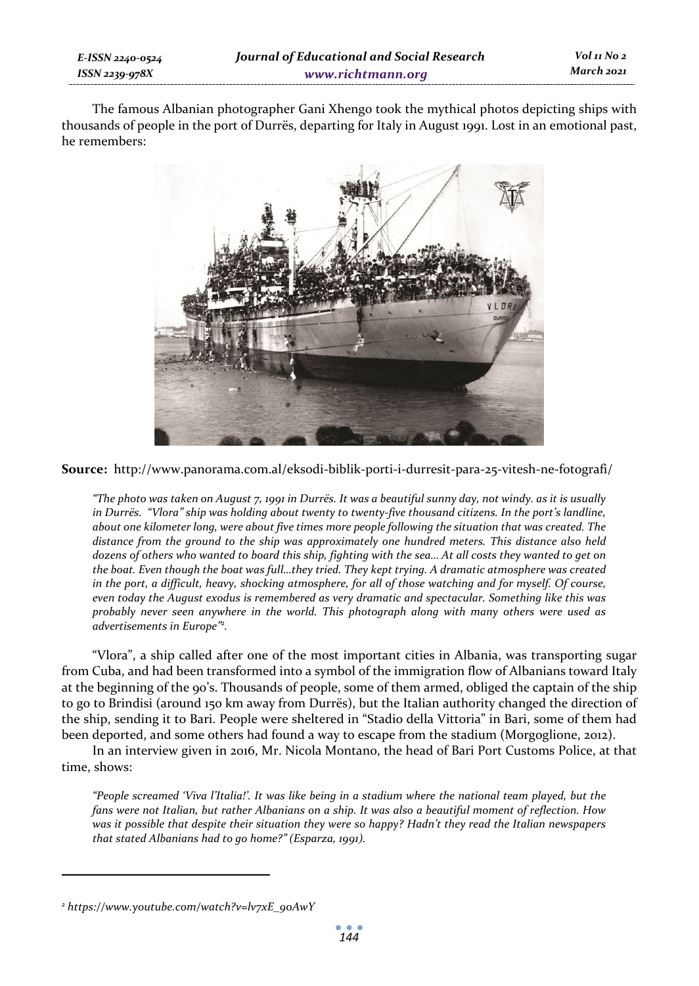The famous Albanian photographer Gani Xhengo took the mythical photos depicting ships with thousands of people in the port of Durrës, departing for Italy in August 1991. Lost in an emotional past, he remembers:



**Source:** http://www.panorama.com.al/eksodi-biblik-porti-i-durresit-para-25-vitesh-ne-fotografi/

*"The photo was taken on August 7, 1991 in Durrës. It was a beautiful sunny day, not windy. as it is usually in Durrës. "Vlora" ship was holding about twenty to twenty-five thousand citizens. In the port's landline, about one kilometer long, were about five times more people following the situation that was created. The distance from the ground to the ship was approximately one hundred meters. This distance also held dozens of others who wanted to board this ship, fighting with the sea… At all costs they wanted to get on the boat. Even though the boat was full…they tried. They kept trying. A dramatic atmosphere was created in the port, a difficult, heavy, shocking atmosphere, for all of those watching and for myself. Of course, even today the August exodus is remembered as very dramatic and spectacular. Something like this was probably never seen anywhere in the world. This photograph along with many others were used as advertisements in Europe"2 .* 

"Vlora", a ship called after one of the most important cities in Albania, was transporting sugar from Cuba, and had been transformed into a symbol of the immigration flow of Albanians toward Italy at the beginning of the 90's. Thousands of people, some of them armed, obliged the captain of the ship to go to Brindisi (around 150 km away from Durrës), but the Italian authority changed the direction of the ship, sending it to Bari. People were sheltered in "Stadio della Vittoria" in Bari, some of them had been deported, and some others had found a way to escape from the stadium (Morgoglione, 2012).

In an interview given in 2016, Mr. Nicola Montano, the head of Bari Port Customs Police, at that time, shows:

*"People screamed 'Viva l'Italia!'. It was like being in a stadium where the national team played, but the fans were not Italian, but rather Albanians on a ship. It was also a beautiful moment of reflection. How was it possible that despite their situation they were so happy? Hadn't they read the Italian newspapers that stated Albanians had to go home?" (Esparza, 1991).* 

*<sup>2</sup> https://www.youtube.com/watch?v=lv7xE\_90AwY*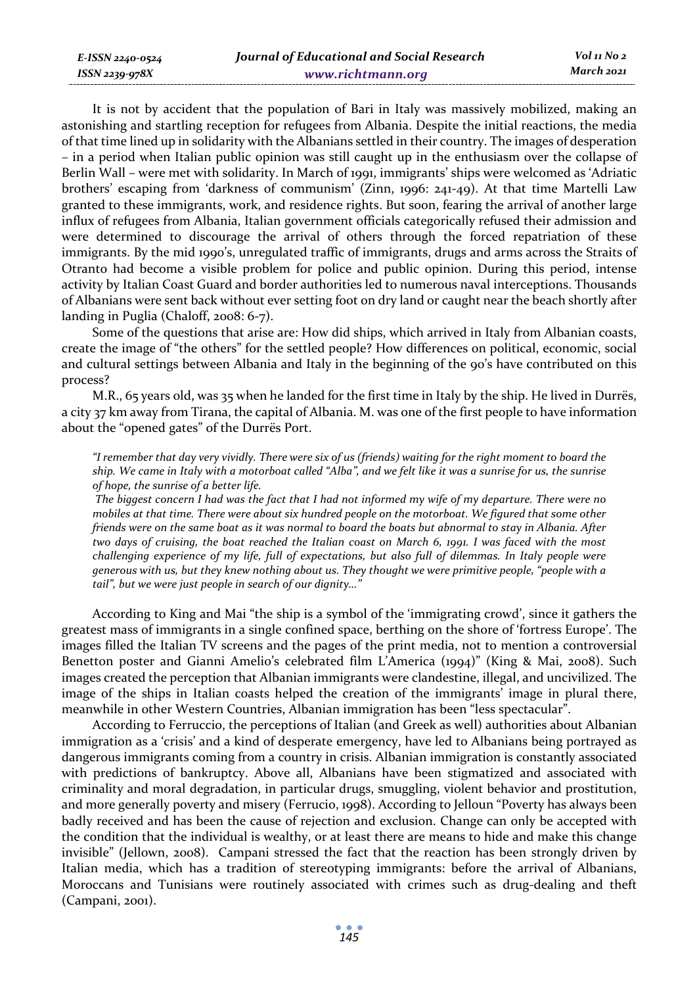It is not by accident that the population of Bari in Italy was massively mobilized, making an astonishing and startling reception for refugees from Albania. Despite the initial reactions, the media of that time lined up in solidarity with the Albanians settled in their country. The images of desperation – in a period when Italian public opinion was still caught up in the enthusiasm over the collapse of Berlin Wall – were met with solidarity. In March of 1991, immigrants' ships were welcomed as 'Adriatic brothers' escaping from 'darkness of communism' (Zinn, 1996: 241-49). At that time Martelli Law granted to these immigrants, work, and residence rights. But soon, fearing the arrival of another large influx of refugees from Albania, Italian government officials categorically refused their admission and were determined to discourage the arrival of others through the forced repatriation of these immigrants. By the mid 1990's, unregulated traffic of immigrants, drugs and arms across the Straits of Otranto had become a visible problem for police and public opinion. During this period, intense activity by Italian Coast Guard and border authorities led to numerous naval interceptions. Thousands of Albanians were sent back without ever setting foot on dry land or caught near the beach shortly after landing in Puglia (Chaloff, 2008: 6-7).

Some of the questions that arise are: How did ships, which arrived in Italy from Albanian coasts, create the image of "the others" for the settled people? How differences on political, economic, social and cultural settings between Albania and Italy in the beginning of the 90's have contributed on this process?

M.R., 65 years old, was 35 when he landed for the first time in Italy by the ship. He lived in Durrës, a city 37 km away from Tirana, the capital of Albania. M. was one of the first people to have information about the "opened gates" of the Durrës Port.

*"I remember that day very vividly. There were six of us (friends) waiting for the right moment to board the ship. We came in Italy with a motorboat called "Alba", and we felt like it was a sunrise for us, the sunrise of hope, the sunrise of a better life.* 

 *The biggest concern I had was the fact that I had not informed my wife of my departure. There were no mobiles at that time. There were about six hundred people on the motorboat. We figured that some other friends were on the same boat as it was normal to board the boats but abnormal to stay in Albania. After two days of cruising, the boat reached the Italian coast on March 6, 1991. I was faced with the most challenging experience of my life, full of expectations, but also full of dilemmas. In Italy people were generous with us, but they knew nothing about us. They thought we were primitive people, "people with a tail", but we were just people in search of our dignity…"* 

According to King and Mai "the ship is a symbol of the 'immigrating crowd', since it gathers the greatest mass of immigrants in a single confined space, berthing on the shore of 'fortress Europe'. The images filled the Italian TV screens and the pages of the print media, not to mention a controversial Benetton poster and Gianni Amelio's celebrated film L'America (1994)" (King & Mai, 2008). Such images created the perception that Albanian immigrants were clandestine, illegal, and uncivilized. The image of the ships in Italian coasts helped the creation of the immigrants' image in plural there, meanwhile in other Western Countries, Albanian immigration has been "less spectacular".

According to Ferruccio, the perceptions of Italian (and Greek as well) authorities about Albanian immigration as a 'crisis' and a kind of desperate emergency, have led to Albanians being portrayed as dangerous immigrants coming from a country in crisis. Albanian immigration is constantly associated with predictions of bankruptcy. Above all, Albanians have been stigmatized and associated with criminality and moral degradation, in particular drugs, smuggling, violent behavior and prostitution, and more generally poverty and misery (Ferrucio, 1998). According to Jelloun "Poverty has always been badly received and has been the cause of rejection and exclusion. Change can only be accepted with the condition that the individual is wealthy, or at least there are means to hide and make this change invisible" (Jellown, 2008). Campani stressed the fact that the reaction has been strongly driven by Italian media, which has a tradition of stereotyping immigrants: before the arrival of Albanians, Moroccans and Tunisians were routinely associated with crimes such as drug-dealing and theft (Campani, 2001).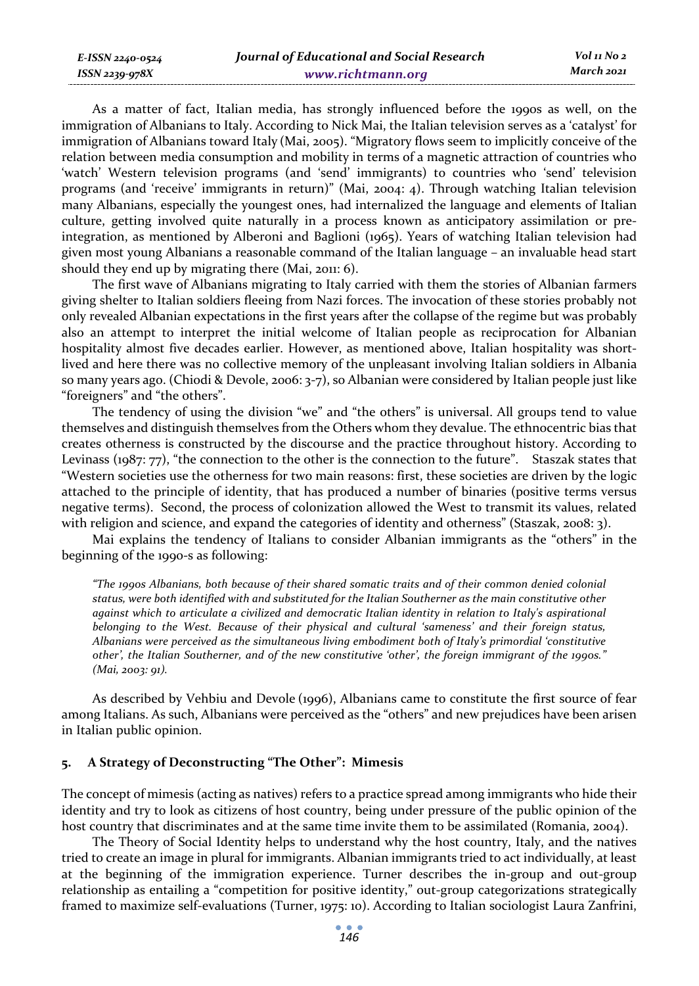As a matter of fact, Italian media, has strongly influenced before the 1990s as well, on the immigration of Albanians to Italy. According to Nick Mai, the Italian television serves as a 'catalyst' for immigration of Albanians toward Italy (Mai, 2005). "Migratory flows seem to implicitly conceive of the relation between media consumption and mobility in terms of a magnetic attraction of countries who 'watch' Western television programs (and 'send' immigrants) to countries who 'send' television programs (and 'receive' immigrants in return)" (Mai, 2004: 4). Through watching Italian television many Albanians, especially the youngest ones, had internalized the language and elements of Italian culture, getting involved quite naturally in a process known as anticipatory assimilation or preintegration, as mentioned by Alberoni and Baglioni (1965). Years of watching Italian television had given most young Albanians a reasonable command of the Italian language – an invaluable head start should they end up by migrating there (Mai, 2011: 6).

The first wave of Albanians migrating to Italy carried with them the stories of Albanian farmers giving shelter to Italian soldiers fleeing from Nazi forces. The invocation of these stories probably not only revealed Albanian expectations in the first years after the collapse of the regime but was probably also an attempt to interpret the initial welcome of Italian people as reciprocation for Albanian hospitality almost five decades earlier. However, as mentioned above, Italian hospitality was shortlived and here there was no collective memory of the unpleasant involving Italian soldiers in Albania so many years ago. (Chiodi & Devole, 2006: 3-7), so Albanian were considered by Italian people just like "foreigners" and "the others".

The tendency of using the division "we" and "the others" is universal. All groups tend to value themselves and distinguish themselves from the Others whom they devalue. The ethnocentric bias that creates otherness is constructed by the discourse and the practice throughout history. According to Levinass (1987: 77), "the connection to the other is the connection to the future". Staszak states that "Western societies use the otherness for two main reasons: first, these societies are driven by the logic attached to the principle of identity, that has produced a number of binaries (positive terms versus negative terms). Second, the process of colonization allowed the West to transmit its values, related with religion and science, and expand the categories of identity and otherness" (Staszak, 2008: 3).

Mai explains the tendency of Italians to consider Albanian immigrants as the "others" in the beginning of the 1990-s as following:

*"The 1990s Albanians, both because of their shared somatic traits and of their common denied colonial status, were both identified with and substituted for the Italian Southerner as the main constitutive other against which to articulate a civilized and democratic Italian identity in relation to Italy's aspirational belonging to the West. Because of their physical and cultural 'sameness' and their foreign status, Albanians were perceived as the simultaneous living embodiment both of Italy's primordial 'constitutive other', the Italian Southerner, and of the new constitutive 'other', the foreign immigrant of the 1990s." (Mai, 2003: 91).* 

As described by Vehbiu and Devole (1996), Albanians came to constitute the first source of fear among Italians. As such, Albanians were perceived as the "others" and new prejudices have been arisen in Italian public opinion.

### **5. A Strategy of Deconstructing "The Other": Mimesis**

The concept of mimesis (acting as natives) refers to a practice spread among immigrants who hide their identity and try to look as citizens of host country, being under pressure of the public opinion of the host country that discriminates and at the same time invite them to be assimilated (Romania, 2004).

The Theory of Social Identity helps to understand why the host country, Italy, and the natives tried to create an image in plural for immigrants. Albanian immigrants tried to act individually, at least at the beginning of the immigration experience. Turner describes the in-group and out-group relationship as entailing a "competition for positive identity," out-group categorizations strategically framed to maximize self-evaluations (Turner, 1975: 10). According to Italian sociologist Laura Zanfrini,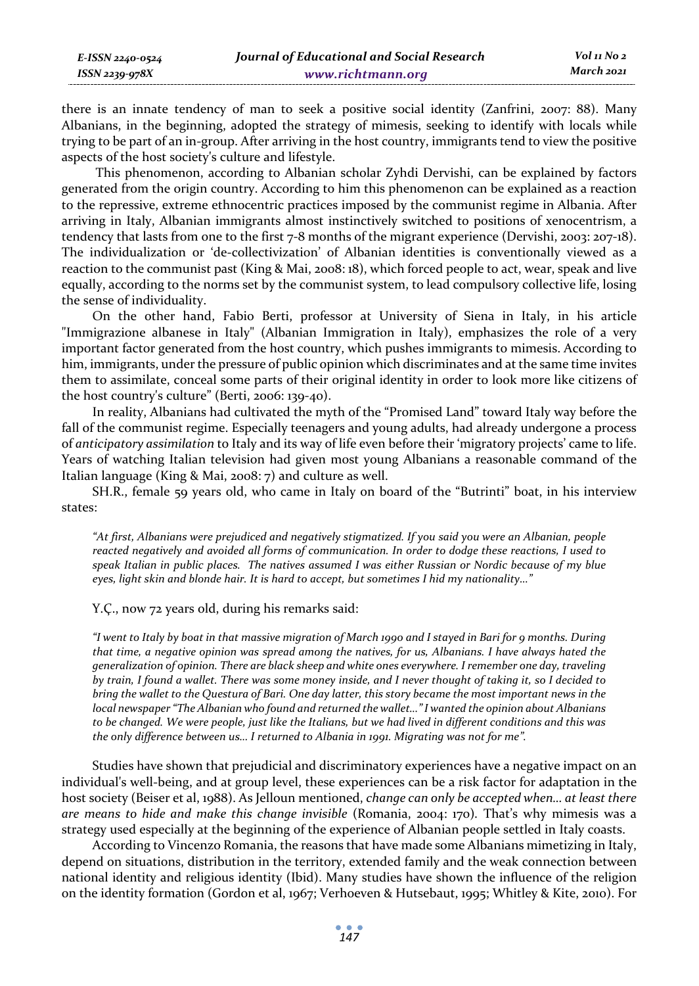| E-ISSN 2240-0524 | Journal of Educational and Social Research | Vol 11 No 2 |
|------------------|--------------------------------------------|-------------|
| ISSN 2239-978X   | www.richtmann.org                          | March 2021  |

there is an innate tendency of man to seek a positive social identity (Zanfrini, 2007: 88). Many Albanians, in the beginning, adopted the strategy of mimesis, seeking to identify with locals while trying to be part of an in-group. After arriving in the host country, immigrants tend to view the positive aspects of the host society's culture and lifestyle.

 This phenomenon, according to Albanian scholar Zyhdi Dervishi, can be explained by factors generated from the origin country. According to him this phenomenon can be explained as a reaction to the repressive, extreme ethnocentric practices imposed by the communist regime in Albania. After arriving in Italy, Albanian immigrants almost instinctively switched to positions of xenocentrism, a tendency that lasts from one to the first 7-8 months of the migrant experience (Dervishi, 2003: 207-18). The individualization or 'de-collectivization' of Albanian identities is conventionally viewed as a reaction to the communist past (King & Mai, 2008: 18), which forced people to act, wear, speak and live equally, according to the norms set by the communist system, to lead compulsory collective life, losing the sense of individuality.

On the other hand, Fabio Berti, professor at University of Siena in Italy, in his article "Immigrazione albanese in Italy" (Albanian Immigration in Italy), emphasizes the role of a very important factor generated from the host country, which pushes immigrants to mimesis. According to him, immigrants, under the pressure of public opinion which discriminates and at the same time invites them to assimilate, conceal some parts of their original identity in order to look more like citizens of the host country's culture" (Berti, 2006: 139-40).

In reality, Albanians had cultivated the myth of the "Promised Land" toward Italy way before the fall of the communist regime. Especially teenagers and young adults, had already undergone a process of *anticipatory assimilation* to Italy and its way of life even before their 'migratory projects' came to life. Years of watching Italian television had given most young Albanians a reasonable command of the Italian language (King & Mai, 2008: 7) and culture as well.

SH.R., female 59 years old, who came in Italy on board of the "Butrinti" boat, in his interview states:

*"At first, Albanians were prejudiced and negatively stigmatized. If you said you were an Albanian, people reacted negatively and avoided all forms of communication. In order to dodge these reactions, I used to speak Italian in public places. The natives assumed I was either Russian or Nordic because of my blue eyes, light skin and blonde hair. It is hard to accept, but sometimes I hid my nationality…"* 

Y.Ç., now 72 years old, during his remarks said:

*"I went to Italy by boat in that massive migration of March 1990 and I stayed in Bari for 9 months. During that time, a negative opinion was spread among the natives, for us, Albanians. I have always hated the generalization of opinion. There are black sheep and white ones everywhere. I remember one day, traveling by train, I found a wallet. There was some money inside, and I never thought of taking it, so I decided to bring the wallet to the Questura of Bari. One day latter, this story became the most important news in the local newspaper "The Albanian who found and returned the wallet…" I wanted the opinion about Albanians to be changed. We were people, just like the Italians, but we had lived in different conditions and this was the only difference between us… I returned to Albania in 1991. Migrating was not for me".* 

Studies have shown that prejudicial and discriminatory experiences have a negative impact on an individual's well-being, and at group level, these experiences can be a risk factor for adaptation in the host society (Beiser et al, 1988). As Jelloun mentioned, *change can only be accepted when… at least there are means to hide and make this change invisible* (Romania, 2004: 170)*.* That's why mimesis was a strategy used especially at the beginning of the experience of Albanian people settled in Italy coasts.

According to Vincenzo Romania, the reasons that have made some Albanians mimetizing in Italy, depend on situations, distribution in the territory, extended family and the weak connection between national identity and religious identity (Ibid). Many studies have shown the influence of the religion on the identity formation (Gordon et al, 1967; Verhoeven & Hutsebaut, 1995; Whitley & Kite, 2010). For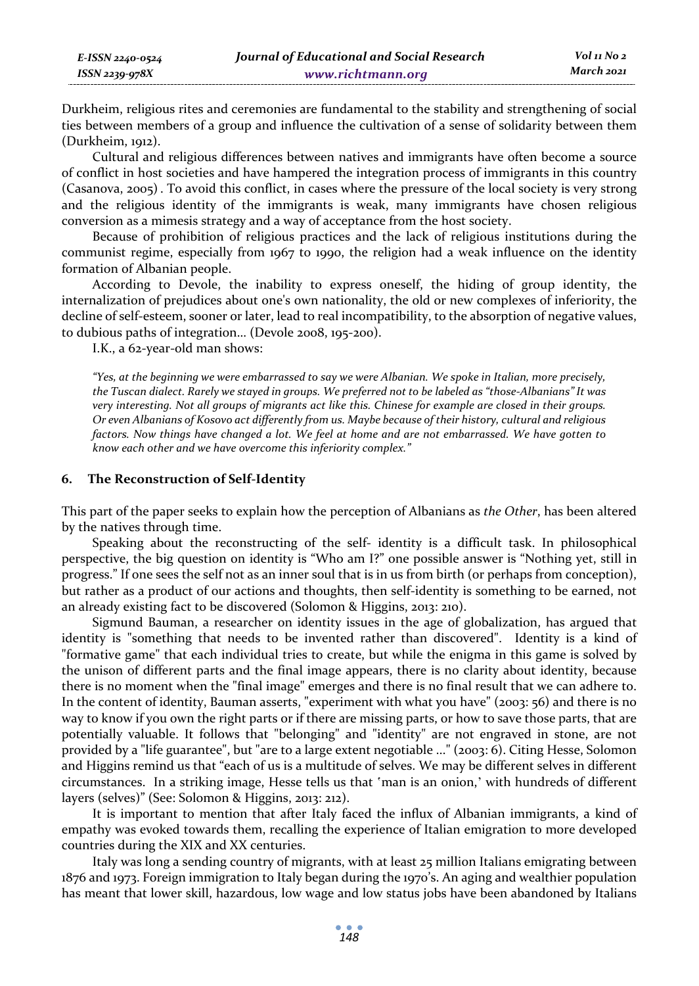| E-ISSN 2240-0524 | Journal of Educational and Social Research | Vol 11 No 2 |
|------------------|--------------------------------------------|-------------|
| ISSN 2239-978X   | www.richtmann.org                          | March 2021  |

Durkheim, religious rites and ceremonies are fundamental to the stability and strengthening of social ties between members of a group and influence the cultivation of a sense of solidarity between them (Durkheim, 1912).

Cultural and religious differences between natives and immigrants have often become a source of conflict in host societies and have hampered the integration process of immigrants in this country (Casanova, 2005). To avoid this conflict, in cases where the pressure of the local society is very strong and the religious identity of the immigrants is weak, many immigrants have chosen religious conversion as a mimesis strategy and a way of acceptance from the host society.

Because of prohibition of religious practices and the lack of religious institutions during the communist regime, especially from 1967 to 1990, the religion had a weak influence on the identity formation of Albanian people.

According to Devole, the inability to express oneself, the hiding of group identity, the internalization of prejudices about one's own nationality, the old or new complexes of inferiority, the decline of self-esteem, sooner or later, lead to real incompatibility, to the absorption of negative values, to dubious paths of integration… (Devole 2008, 195-200).

I.K., a 62-year-old man shows:

*"Yes, at the beginning we were embarrassed to say we were Albanian. We spoke in Italian, more precisely, the Tuscan dialect. Rarely we stayed in groups. We preferred not to be labeled as "those-Albanians" It was very interesting. Not all groups of migrants act like this. Chinese for example are closed in their groups. Or even Albanians of Kosovo act differently from us. Maybe because of their history, cultural and religious factors. Now things have changed a lot. We feel at home and are not embarrassed. We have gotten to know each other and we have overcome this inferiority complex."* 

### **6. The Reconstruction of Self-Identity**

This part of the paper seeks to explain how the perception of Albanians as *the Other*, has been altered by the natives through time.

Speaking about the reconstructing of the self- identity is a difficult task. In philosophical perspective, the big question on identity is "Who am I?" one possible answer is "Nothing yet, still in progress." If one sees the self not as an inner soul that is in us from birth (or perhaps from conception), but rather as a product of our actions and thoughts, then self-identity is something to be earned, not an already existing fact to be discovered (Solomon & Higgins, 2013: 210).

Sigmund Bauman, a researcher on identity issues in the age of globalization, has argued that identity is "something that needs to be invented rather than discovered". Identity is a kind of "formative game" that each individual tries to create, but while the enigma in this game is solved by the unison of different parts and the final image appears, there is no clarity about identity, because there is no moment when the "final image" emerges and there is no final result that we can adhere to. In the content of identity, Bauman asserts, "experiment with what you have" (2003: 56) and there is no way to know if you own the right parts or if there are missing parts, or how to save those parts, that are potentially valuable. It follows that "belonging" and "identity" are not engraved in stone, are not provided by a "life guarantee", but "are to a large extent negotiable ..." (2003: 6). Citing Hesse, Solomon and Higgins remind us that "each of us is a multitude of selves. We may be different selves in different circumstances. In a striking image, Hesse tells us that 'man is an onion,' with hundreds of different layers (selves)" (See: Solomon & Higgins, 2013: 212).

It is important to mention that after Italy faced the influx of Albanian immigrants, a kind of empathy was evoked towards them, recalling the experience of Italian emigration to more developed countries during the XIX and XX centuries.

Italy was long a sending country of migrants, with at least 25 million Italians emigrating between 1876 and 1973. Foreign immigration to Italy began during the 1970's. An aging and wealthier population has meant that lower skill, hazardous, low wage and low status jobs have been abandoned by Italians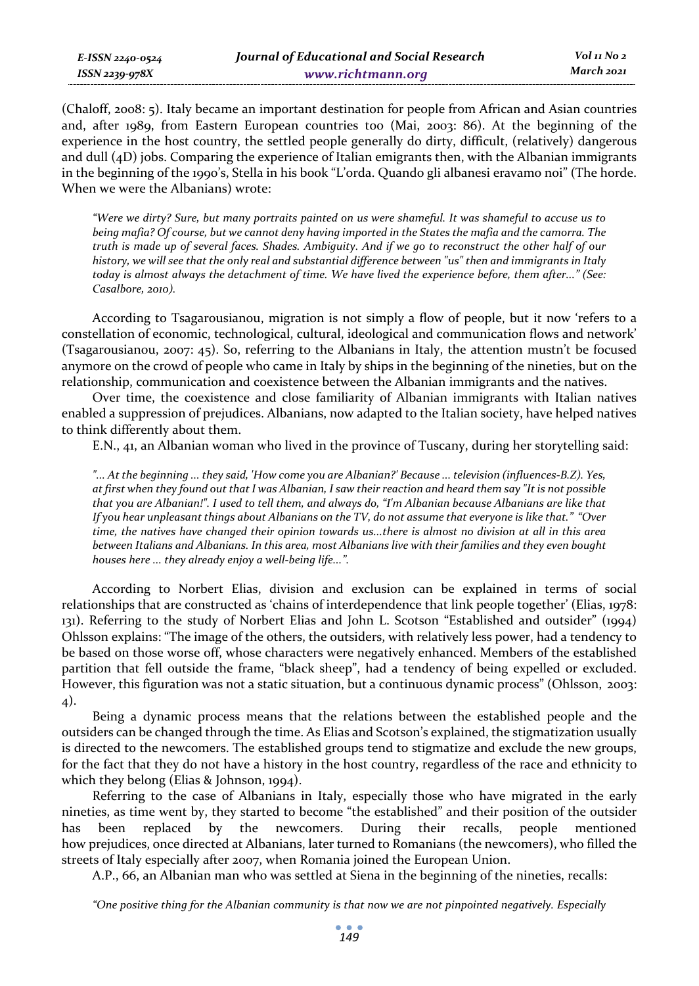(Chaloff, 2008: 5). Italy became an important destination for people from African and Asian countries and, after 1989, from Eastern European countries too (Mai, 2003: 86). At the beginning of the experience in the host country, the settled people generally do dirty, difficult, (relatively) dangerous and dull (4D) jobs. Comparing the experience of Italian emigrants then, with the Albanian immigrants in the beginning of the 1990's, Stella in his book "L'orda. Quando gli albanesi eravamo noi" (The horde. When we were the Albanians) wrote:

*"Were we dirty? Sure, but many portraits painted on us were shameful. It was shameful to accuse us to being mafia? Of course, but we cannot deny having imported in the States the mafia and the camorra. The truth is made up of several faces. Shades. Ambiguity. And if we go to reconstruct the other half of our history, we will see that the only real and substantial difference between "us" then and immigrants in Italy today is almost always the detachment of time. We have lived the experience before, them after..." (See: Casalbore, 2010).* 

According to Tsagarousianou, migration is not simply a flow of people, but it now 'refers to a constellation of economic, technological, cultural, ideological and communication flows and network' (Tsagarousianou, 2007: 45). So, referring to the Albanians in Italy, the attention mustn't be focused anymore on the crowd of people who came in Italy by ships in the beginning of the nineties, but on the relationship, communication and coexistence between the Albanian immigrants and the natives.

Over time, the coexistence and close familiarity of Albanian immigrants with Italian natives enabled a suppression of prejudices. Albanians, now adapted to the Italian society, have helped natives to think differently about them.

E.N., 41, an Albanian woman who lived in the province of Tuscany, during her storytelling said:

*"... At the beginning ... they said, 'How come you are Albanian?' Because ... television (influences-B.Z). Yes, at first when they found out that I was Albanian, I saw their reaction and heard them say "It is not possible that you are Albanian!". I used to tell them, and always do, "I'm Albanian because Albanians are like that If you hear unpleasant things about Albanians on the TV, do not assume that everyone is like that." "Over time, the natives have changed their opinion towards us...there is almost no division at all in this area between Italians and Albanians. In this area, most Albanians live with their families and they even bought houses here ... they already enjoy a well-being life...".* 

According to Norbert Elias, division and exclusion can be explained in terms of social relationships that are constructed as 'chains of interdependence that link people together' (Elias, 1978: 131). Referring to the study of Norbert Elias and John L. Scotson "Established and outsider" (1994) Ohlsson explains: "The image of the others, the outsiders, with relatively less power, had a tendency to be based on those worse off, whose characters were negatively enhanced. Members of the established partition that fell outside the frame, "black sheep", had a tendency of being expelled or excluded. However, this figuration was not a static situation, but a continuous dynamic process" (Ohlsson, 2003: 4).

Being a dynamic process means that the relations between the established people and the outsiders can be changed through the time. As Elias and Scotson's explained, the stigmatization usually is directed to the newcomers. The established groups tend to stigmatize and exclude the new groups, for the fact that they do not have a history in the host country, regardless of the race and ethnicity to which they belong (Elias & Johnson, 1994).

Referring to the case of Albanians in Italy, especially those who have migrated in the early nineties, as time went by, they started to become "the established" and their position of the outsider has been replaced by the newcomers. During their recalls, people mentioned how prejudices, once directed at Albanians, later turned to Romanians (the newcomers), who filled the streets of Italy especially after 2007, when Romania joined the European Union.

A.P., 66, an Albanian man who was settled at Siena in the beginning of the nineties, recalls:

*"One positive thing for the Albanian community is that now we are not pinpointed negatively. Especially*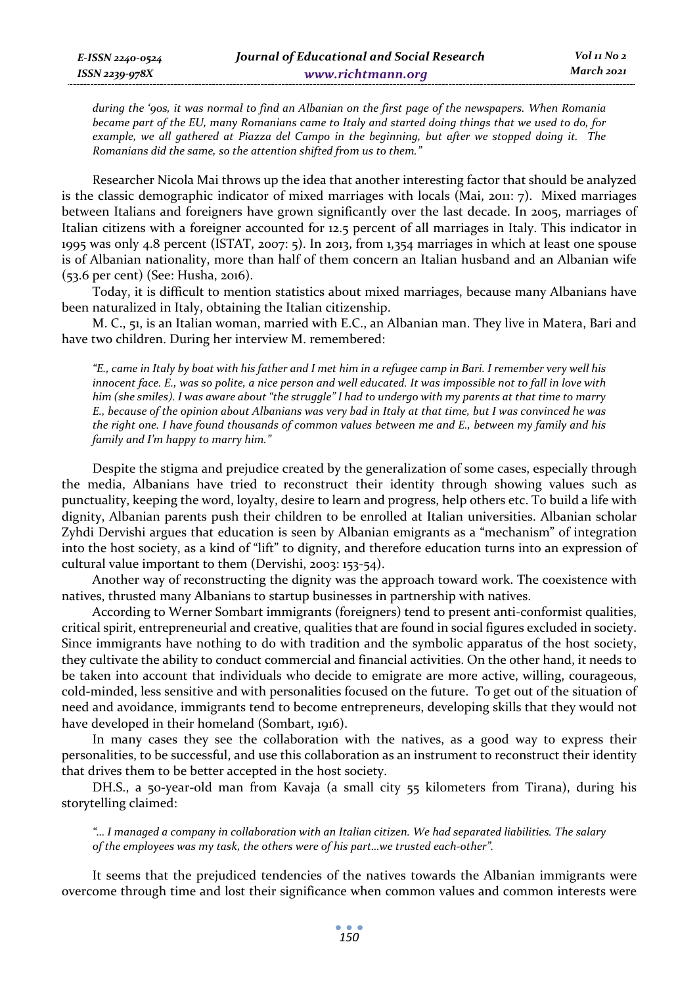*during the '90s, it was normal to find an Albanian on the first page of the newspapers. When Romania became part of the EU, many Romanians came to Italy and started doing things that we used to do, for example, we all gathered at Piazza del Campo in the beginning, but after we stopped doing it. The Romanians did the same, so the attention shifted from us to them."* 

Researcher Nicola Mai throws up the idea that another interesting factor that should be analyzed is the classic demographic indicator of mixed marriages with locals (Mai, 2011: 7). Mixed marriages between Italians and foreigners have grown significantly over the last decade. In 2005, marriages of Italian citizens with a foreigner accounted for 12.5 percent of all marriages in Italy. This indicator in 1995 was only 4.8 percent (ISTAT, 2007: 5). In 2013, from 1,354 marriages in which at least one spouse is of Albanian nationality, more than half of them concern an Italian husband and an Albanian wife (53.6 per cent) (See: Husha, 2016).

Today, it is difficult to mention statistics about mixed marriages, because many Albanians have been naturalized in Italy, obtaining the Italian citizenship.

M. C., 51, is an Italian woman, married with E.C., an Albanian man. They live in Matera, Bari and have two children. During her interview M. remembered:

*"E., came in Italy by boat with his father and I met him in a refugee camp in Bari. I remember very well his innocent face. E., was so polite, a nice person and well educated. It was impossible not to fall in love with him (she smiles). I was aware about "the struggle" I had to undergo with my parents at that time to marry E., because of the opinion about Albanians was very bad in Italy at that time, but I was convinced he was the right one. I have found thousands of common values between me and E., between my family and his family and I'm happy to marry him."* 

Despite the stigma and prejudice created by the generalization of some cases, especially through the media, Albanians have tried to reconstruct their identity through showing values such as punctuality, keeping the word, loyalty, desire to learn and progress, help others etc. To build a life with dignity, Albanian parents push their children to be enrolled at Italian universities. Albanian scholar Zyhdi Dervishi argues that education is seen by Albanian emigrants as a "mechanism" of integration into the host society, as a kind of "lift" to dignity, and therefore education turns into an expression of cultural value important to them (Dervishi, 2003: 153-54).

Another way of reconstructing the dignity was the approach toward work. The coexistence with natives, thrusted many Albanians to startup businesses in partnership with natives.

According to Werner Sombart immigrants (foreigners) tend to present anti-conformist qualities, critical spirit, entrepreneurial and creative, qualities that are found in social figures excluded in society. Since immigrants have nothing to do with tradition and the symbolic apparatus of the host society, they cultivate the ability to conduct commercial and financial activities. On the other hand, it needs to be taken into account that individuals who decide to emigrate are more active, willing, courageous, cold-minded, less sensitive and with personalities focused on the future. To get out of the situation of need and avoidance, immigrants tend to become entrepreneurs, developing skills that they would not have developed in their homeland (Sombart, 1916).

In many cases they see the collaboration with the natives, as a good way to express their personalities, to be successful, and use this collaboration as an instrument to reconstruct their identity that drives them to be better accepted in the host society.

DH.S., a 50-year-old man from Kavaja (a small city 55 kilometers from Tirana), during his storytelling claimed:

*"… I managed a company in collaboration with an Italian citizen. We had separated liabilities. The salary of the employees was my task, the others were of his part…we trusted each-other".* 

It seems that the prejudiced tendencies of the natives towards the Albanian immigrants were overcome through time and lost their significance when common values and common interests were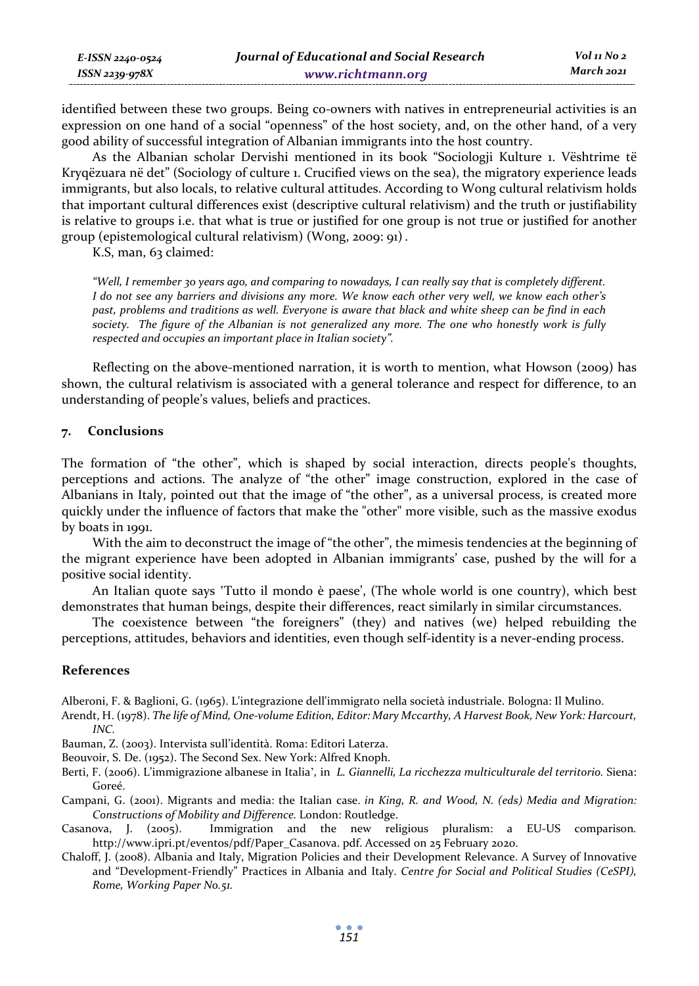identified between these two groups. Being co-owners with natives in entrepreneurial activities is an expression on one hand of a social "openness" of the host society, and, on the other hand, of a very good ability of successful integration of Albanian immigrants into the host country.

As the Albanian scholar Dervishi mentioned in its book "Sociologji Kulture 1. Vështrime të Kryqëzuara në det" (Sociology of culture 1. Crucified views on the sea), the migratory experience leads immigrants, but also locals, to relative cultural attitudes. According to Wong cultural relativism holds that important cultural differences exist (descriptive cultural relativism) and the truth or justifiability is relative to groups i.e. that what is true or justified for one group is not true or justified for another group (epistemological cultural relativism) (Wong, 2009: 91).

K.S, man, 63 claimed:

*E-ISSN 2240-0524 ISSN 2239-978X*

> *"Well, I remember 30 years ago, and comparing to nowadays, I can really say that is completely different. I do not see any barriers and divisions any more. We know each other very well, we know each other's past, problems and traditions as well. Everyone is aware that black and white sheep can be find in each society. The figure of the Albanian is not generalized any more. The one who honestly work is fully respected and occupies an important place in Italian society".*

Reflecting on the above-mentioned narration, it is worth to mention, what Howson (2009) has shown, the cultural relativism is associated with a general tolerance and respect for difference, to an understanding of people's values, beliefs and practices.

### **7. Conclusions**

The formation of "the other", which is shaped by social interaction, directs people's thoughts, perceptions and actions. The analyze of "the other" image construction, explored in the case of Albanians in Italy, pointed out that the image of "the other", as a universal process, is created more quickly under the influence of factors that make the "other" more visible, such as the massive exodus by boats in 1991.

With the aim to deconstruct the image of "the other", the mimesis tendencies at the beginning of the migrant experience have been adopted in Albanian immigrants' case, pushed by the will for a positive social identity.

An Italian quote says 'Tutto il mondo è paese', (The whole world is one country), which best demonstrates that human beings, despite their differences, react similarly in similar circumstances.

The coexistence between "the foreigners" (they) and natives (we) helped rebuilding the perceptions, attitudes, behaviors and identities, even though self-identity is a never-ending process.

### **References**

Alberoni, F. & Baglioni, G. (1965). L'integrazione dell'immigrato nella società industriale. Bologna: Il Mulino.

Arendt, H. (1978). *The life of Mind, One-volume Edition, Editor: Mary Mccarthy, A Harvest Book, New York: Harcourt, INC.*

Bauman, Z. (2003). Intervista sull'identità. Roma: Editori Laterza.

Beouvoir, S. De. (1952). The Second Sex. New York: Alfred Knoph.

- Berti, F. (2006). L'immigrazione albanese in Italia'*,* in *L. Giannelli, La ricchezza multiculturale del territorio.* Siena: Goreé.
- Campani, G. (2001). Migrants and media: the Italian case. *in King, R. and Wood, N. (eds) Media and Migration: Constructions of Mobility and Difference.* London: Routledge.
- Casanova, J. (2005). Immigration and the new religious pluralism: a EU-US comparison*.*  http://www.ipri.pt/eventos/pdf/Paper\_Casanova. pdf. Accessed on 25 February 2020.
- Chaloff, J. (2008). Albania and Italy, Migration Policies and their Development Relevance. A Survey of Innovative and "Development-Friendly" Practices in Albania and Italy. *Centre for Social and Political Studies (CeSPI), Rome, Working Paper No.51.*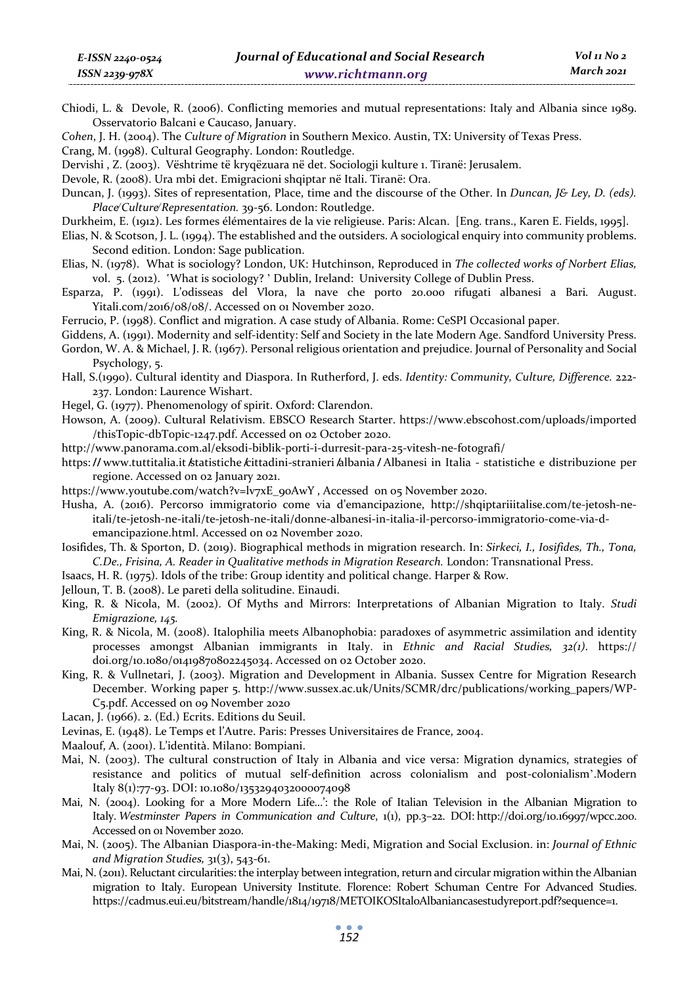- Chiodi, L. & Devole, R. (2006). Conflicting memories and mutual representations: Italy and Albania since 1989. Osservatorio Balcani e Caucaso, January.
- *Cohen*, J. H. (2004). The *Culture of Migration* in Southern Mexico. Austin, TX: University of Texas Press.
- Crang, M. (1998). Cultural Geography. London: Routledge.
- Dervishi , Z. (2003). Vështrime të kryqëzuara në det. Sociologji kulture 1. Tiranë: Jerusalem.
- Devole, R. (2008). Ura mbi det. Emigracioni shqiptar në Itali. Tiranë: Ora.
- Duncan, J. (1993). Sites of representation, Place, time and the discourse of the Other. In *Duncan, J& Ley, D. (eds). Place̸ Culture̸ Representation.* 39-56. London: Routledge.
- Durkheim, E. (1912). Les formes élémentaires de la vie religieuse. Paris: Alcan. [Eng. trans., Karen E. Fields, 1995].
- Elias, N. & Scotson, J. L. (1994). The established and the outsiders. A sociological enquiry into community problems. Second edition. London: Sage publication.
- Elias, N. (1978). What is sociology? London, UK: Hutchinson, Reproduced in *The collected works of Norbert Elias,*  vol. 5. (2012). 'What is sociology?' Dublin, Ireland: University College of Dublin Press.
- Esparza, P. (1991). L'odisseas del Vlora, la nave che porto 20.000 rifugati albanesi a Bari*.* August. Yitali.com/2016/08/08/. Accessed on 01 November 2020.
- Ferrucio, P. (1998). Conflict and migration. A case study of Albania. Rome: CeSPI Occasional paper.
- Giddens, A. (1991). Modernity and self-identity: Self and Society in the late Modern Age. Sandford University Press.
- Gordon, W. A. & Michael, J. R. (1967). Personal religious orientation and prejudice. Journal of Personality and Social Psychology, 5.
- Hall, S.(1990). Cultural identity and Diaspora. In Rutherford, J. eds. *Identity: Community, Culture, Difference.* 222- 237. London: Laurence Wishart.
- Hegel, G. (1977). Phenomenology of spirit. Oxford: Clarendon.
- Howson, A. (2009). Cultural Relativism. EBSCO Research Starter. https://www.ebscohost.com/uploads/imported /thisTopic-dbTopic-1247.pdf. Accessed on 02 October 2020.
- http://www.panorama.com.al/eksodi-biblik-porti-i-durresit-para-25-vitesh-ne-fotografi/
- https://www.tuttitalia.it *k*tatistiche *k*ittadini-stranieri *k*lbania / Albanesi in Italia statistiche e distribuzione per regione. Accessed on 02 January 2021.
- https://www.youtube.com/watch?v=lv7xE\_90AwY , Accessed on 05 November 2020.
- Husha, A. (2016). Percorso immigratorio come via d'emancipazione, http://shqiptariiitalise.com/te-jetosh-neitali/te-jetosh-ne-itali/te-jetosh-ne-itali/donne-albanesi-in-italia-il-percorso-immigratorio-come-via-demancipazione.html. Accessed on 02 November 2020.
- Iosifides, Th. & Sporton, D. (2019). Biographical methods in migration research. In: *Sirkeci, I., Iosifides, Th., Tona, C.De., Frisina, A. Reader in Qualitative methods in Migration Research.* London: Transnational Press.
- Isaacs, H. R. (1975). Idols of the tribe: Group identity and political change. Harper & Row.
- Jelloun, T. B. (2008). Le pareti della solitudine. Einaudi.
- King, R. & Nicola, M. (2002). Of Myths and Mirrors: Interpretations of Albanian Migration to Italy. *Studi Emigrazione, 145.*
- King, R. & Nicola, M. (2008). Italophilia meets Albanophobia: paradoxes of asymmetric assimilation and identity processes amongst Albanian immigrants in Italy. in *Ethnic and Racial Studies, 32(1)*. https:// doi.org/10.1080/01419870802245034. Accessed on 02 October 2020.
- King, R. & Vullnetari, J. (2003). Migration and Development in Albania. Sussex Centre for Migration Research December. Working paper 5. http://www.sussex.ac.uk/Units/SCMR/drc/publications/working\_papers/WP-C5.pdf. Accessed on 09 November 2020
- Lacan, J. (1966). 2. (Ed.) Ecrits. Editions du Seuil.
- Levinas, E. (1948). Le Temps et l'Autre. Paris: Presses Universitaires de France, 2004.
- Maalouf, A. (2001). L'identità. Milano: Bompiani.
- Mai, N. (2003). The cultural construction of Italy in Albania and vice versa: Migration dynamics, strategies of resistance and politics of mutual self-definition across colonialism and post-colonialism'.Modern Italy 8(1):77-93. DOI: 10.1080/1353294032000074098
- Mai, N. (2004). Looking for a More Modern Life…': the Role of Italian Television in the Albanian Migration to Italy. *Westminster Papers in Communication and Culture*, 1(1), pp.3–22. DOI: http://doi.org/10.16997/wpcc.200. Accessed on 01 November 2020.
- Mai, N. (2005). The Albanian Diaspora-in-the-Making: Medi, Migration and Social Exclusion. in: *Journal of Ethnic and Migration Studies,* 31(3), 543-61.
- Mai, N. (2011). Reluctant circularities: the interplay between integration, return and circular migration within the Albanian migration to Italy. European University Institute. Florence: Robert Schuman Centre For Advanced Studies. https://cadmus.eui.eu/bitstream/handle/1814/19718/METOIKOSItaloAlbaniancasestudyreport.pdf?sequence=1.